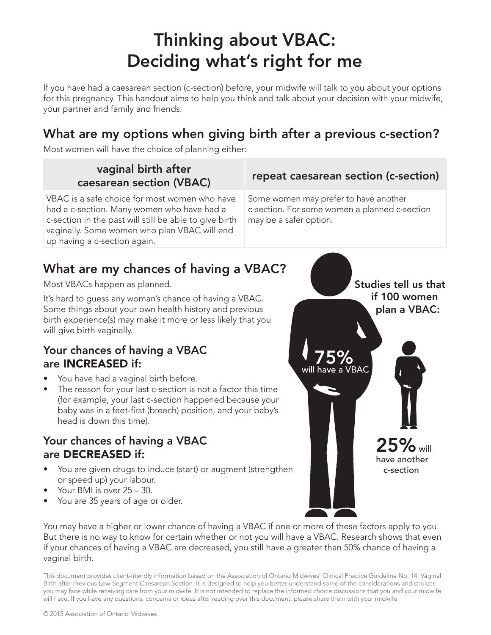# Thinking about VBAC: Deciding what's right for me

If you have had a caesarean section (c-section) before, your midwife will talk to you about your options for this pregnancy. This handout aims to help you think and talk about your decision with your midwife, your partner and family and friends.

## What are my options when giving birth after a previous c-section?

Most women will have the choice of planning either:

# vaginal birth after

VBAC is a safe choice for most women who have had a c-section. Many women who have had a c-section in the past will still be able to give birth vaginally. Some women who plan VBAC will end up having a c-section again.

# **caesarean section (VBAC)** repeat caesarean section (c-section)

Some women may prefer to have another c-section. For some women a planned c-section may be a safer option.

## What are my chances of having a VBAC?

Most VBACs happen as planned.

It's hard to guess any woman's chance of having a VBAC. Some things about your own health history and previous birth experience(s) may make it more or less likely that you will give birth vaginally.

## Your chances of having a VBAC are INCREASED if:

- You have had a vaginal birth before.
- The reason for your last c-section is not a factor this time (for example, your last c-section happened because your baby was in a feet-first (breech) position, and your baby's head is down this time).

## Your chances of having a VBAC are DECREASED if:

- You are given drugs to induce (start) or augment (strengthen or speed up) your labour.
- Your BMI is over 25 30.
- You are 35 years of age or older.



You may have a higher or lower chance of having a VBAC if one or more of these factors apply to you. But there is no way to know for certain whether or not you will have a VBAC. Research shows that even if your chances of having a VBAC are decreased, you still have a greater than 50% chance of having a vaginal birth.

This document provides client-friendly information based on the Association of Ontario Midwives' Clinical Practice Guideline No. 14: Vaginal Birth after Previous Low-Segment Caesarean Section. It is designed to help you better understand some of the considerations and choices you may face while receiving care from your midwife. It is not intended to replace the informed choice discussions that you and your midwife will have. If you have any questions, concerns or ideas after reading over this document, please share them with your midwife.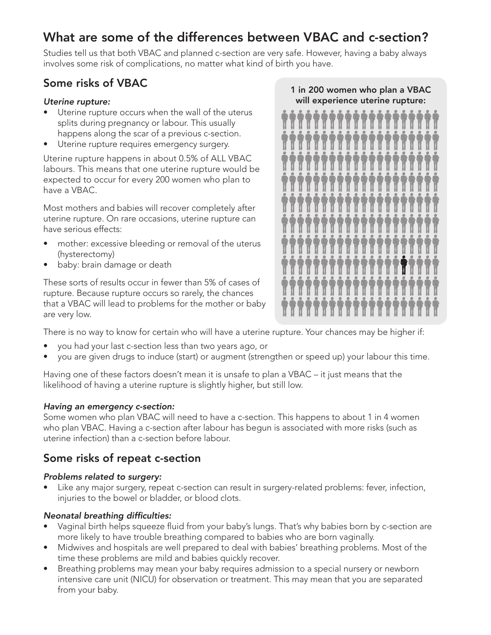# What are some of the differences between VBAC and c-section?

Studies tell us that both VBAC and planned c-section are very safe. However, having a baby always involves some risk of complications, no matter what kind of birth you have.

## Some risks of VBAC

#### *Uterine rupture:*

- Uterine rupture occurs when the wall of the uterus splits during pregnancy or labour. This usually happens along the scar of a previous c-section.
- Uterine rupture requires emergency surgery.

Uterine rupture happens in about 0.5% of ALL VBAC labours. This means that one uterine rupture would be expected to occur for every 200 women who plan to have a VBAC.

Most mothers and babies will recover completely after uterine rupture. On rare occasions, uterine rupture can have serious effects:

- mother: excessive bleeding or removal of the uterus (hysterectomy)
- baby: brain damage or death

These sorts of results occur in fewer than 5% of cases of rupture. Because rupture occurs so rarely, the chances that a VBAC will lead to problems for the mother or baby are very low.

### 1 in 200 women who plan a VBAC will experience uterine rupture:



There is no way to know for certain who will have a uterine rupture. Your chances may be higher if:

- you had your last c-section less than two years ago, or
- you are given drugs to induce (start) or augment (strengthen or speed up) your labour this time.

Having one of these factors doesn't mean it is unsafe to plan a VBAC – it just means that the likelihood of having a uterine rupture is slightly higher, but still low.

### *Having an emergency c-section:*

Some women who plan VBAC will need to have a c-section. This happens to about 1 in 4 women who plan VBAC. Having a c-section after labour has begun is associated with more risks (such as uterine infection) than a c-section before labour.

## Some risks of repeat c-section

### *Problems related to surgery:*

Like any major surgery, repeat c-section can result in surgery-related problems: fever, infection, injuries to the bowel or bladder, or blood clots.

### Neonatal breathing difficulties:

- Vaginal birth helps squeeze fluid from your baby's lungs. That's why babies born by c-section are more likely to have trouble breathing compared to babies who are born vaginally.
- Midwives and hospitals are well prepared to deal with babies' breathing problems. Most of the time these problems are mild and babies quickly recover.
- Breathing problems may mean your baby requires admission to a special nursery or newborn intensive care unit (NICU) for observation or treatment. This may mean that you are separated from your baby.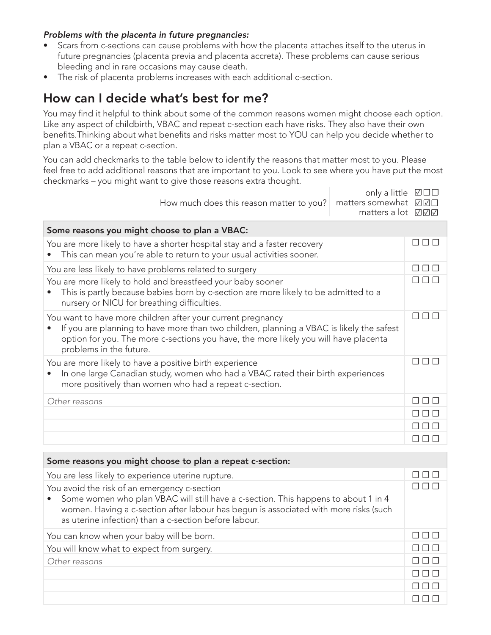#### *Problems with the placenta in future pregnancies:*

- Scars from c-sections can cause problems with how the placenta attaches itself to the uterus in future pregnancies (placenta previa and placenta accreta). These problems can cause serious bleeding and in rare occasions may cause death.
- The risk of placenta problems increases with each additional c-section.

## How can I decide what's best for me?

You may find it helpful to think about some of the common reasons women might choose each option. Like any aspect of childbirth, VBAC and repeat c-section each have risks. They also have their own benefits.Thinking about what benefits and risks matter most to YOU can help you decide whether to plan a VBAC or a repeat c-section.

You can add checkmarks to the table below to identify the reasons that matter most to you. Please feel free to add additional reasons that are important to you. Look to see where you have put the most checkmarks – you might want to give those reasons extra thought.

| How much does this reason matter to you?                                                                                                                                                                                                                                   | only a little<br>matters somewhat<br>matters a lot | ☑□□<br>☑☑☑        |  |
|----------------------------------------------------------------------------------------------------------------------------------------------------------------------------------------------------------------------------------------------------------------------------|----------------------------------------------------|-------------------|--|
| Some reasons you might choose to plan a VBAC:                                                                                                                                                                                                                              |                                                    |                   |  |
| You are more likely to have a shorter hospital stay and a faster recovery<br>This can mean you're able to return to your usual activities sooner.                                                                                                                          |                                                    |                   |  |
| You are less likely to have problems related to surgery                                                                                                                                                                                                                    |                                                    |                   |  |
| You are more likely to hold and breastfeed your baby sooner<br>This is partly because babies born by c-section are more likely to be admitted to a<br>nursery or NICU for breathing difficulties.                                                                          |                                                    |                   |  |
| You want to have more children after your current pregnancy<br>If you are planning to have more than two children, planning a VBAC is likely the safest<br>option for you. The more c-sections you have, the more likely you will have placenta<br>problems in the future. |                                                    | $\Box$<br>$\perp$ |  |
| You are more likely to have a positive birth experience<br>In one large Canadian study, women who had a VBAC rated their birth experiences<br>more positively than women who had a repeat c-section.                                                                       |                                                    |                   |  |
| Other reasons                                                                                                                                                                                                                                                              |                                                    |                   |  |
|                                                                                                                                                                                                                                                                            |                                                    |                   |  |
|                                                                                                                                                                                                                                                                            |                                                    |                   |  |
|                                                                                                                                                                                                                                                                            |                                                    |                   |  |

| Some reasons you might choose to plan a repeat c-section:                                                                                                                                                                                                                           |  |
|-------------------------------------------------------------------------------------------------------------------------------------------------------------------------------------------------------------------------------------------------------------------------------------|--|
| You are less likely to experience uterine rupture.                                                                                                                                                                                                                                  |  |
| You avoid the risk of an emergency c-section<br>Some women who plan VBAC will still have a c-section. This happens to about 1 in 4<br>women. Having a c-section after labour has begun is associated with more risks (such<br>as uterine infection) than a c-section before labour. |  |
| You can know when your baby will be born.                                                                                                                                                                                                                                           |  |
| You will know what to expect from surgery.                                                                                                                                                                                                                                          |  |
| Other reasons                                                                                                                                                                                                                                                                       |  |
|                                                                                                                                                                                                                                                                                     |  |
|                                                                                                                                                                                                                                                                                     |  |
|                                                                                                                                                                                                                                                                                     |  |